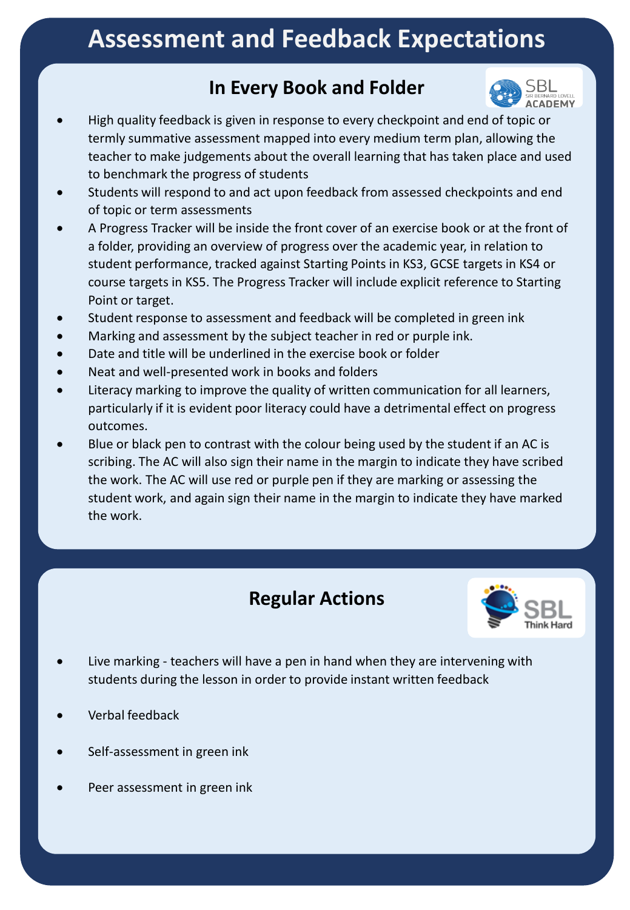## **Assessment and Feedback Expectations**

## **In Every Book and Folder**



- High quality feedback is given in response to every checkpoint and end of topic or termly summative assessment mapped into every medium term plan, allowing the teacher to make judgements about the overall learning that has taken place and used to benchmark the progress of students
- Students will respond to and act upon feedback from assessed checkpoints and end of topic or term assessments
- A Progress Tracker will be inside the front cover of an exercise book or at the front of a folder, providing an overview of progress over the academic year, in relation to student performance, tracked against Starting Points in KS3, GCSE targets in KS4 or course targets in KS5. The Progress Tracker will include explicit reference to Starting Point or target.
- Student response to assessment and feedback will be completed in green ink
- Marking and assessment by the subject teacher in red or purple ink.
- Date and title will be underlined in the exercise book or folder
- Neat and well-presented work in books and folders
- Literacy marking to improve the quality of written communication for all learners, particularly if it is evident poor literacy could have a detrimental effect on progress outcomes.
- Blue or black pen to contrast with the colour being used by the student if an AC is scribing. The AC will also sign their name in the margin to indicate they have scribed the work. The AC will use red or purple pen if they are marking or assessing the student work, and again sign their name in the margin to indicate they have marked the work.

## **Regular Actions**



- Live marking teachers will have a pen in hand when they are intervening with students during the lesson in order to provide instant written feedback
- Verbal feedback
- Self-assessment in green ink
- Peer assessment in green ink